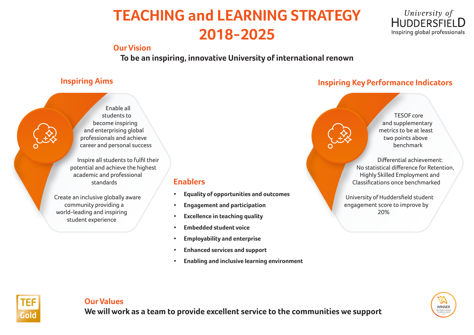# **TEACHING and LEARNING STRATEGY 2018-2025**

### **Our Vision**

**To be an inspiring, innovative University of international renown**

Enable all students to become inspiring and enterprising global professionals and achieve career and personal success

Inspire all students to fulfil their potential and achieve the highest academic and professional standards

Create an inclusive globally aware community providing a world-leading and inspiring student experience

### **Enablers**

- **• Equality of opportunities and outcomes**
- **• Engagement and participation**
- **• Excellence in teaching quality**
- **• Embedded student voice**
- **• Employability and enterprise**
- **• Enhanced services and support**
- **• Enabling and inclusive learning environment**

# **Inspiring Aims Inspiring Key Performance Indicators**



TESOF core and supplementary metrics to be at least two points above benchmark

University of **HUDDERSFIELD** Inspiring global professionals

Differential achievement: No statistical difference for Retention, Highly Skilled Employment and Classifications once benchmarked

University of Huddersfield student engagement score to improve by 20%



### **Our Values**

**We will work as a team to provide excellent service to the communities we support**